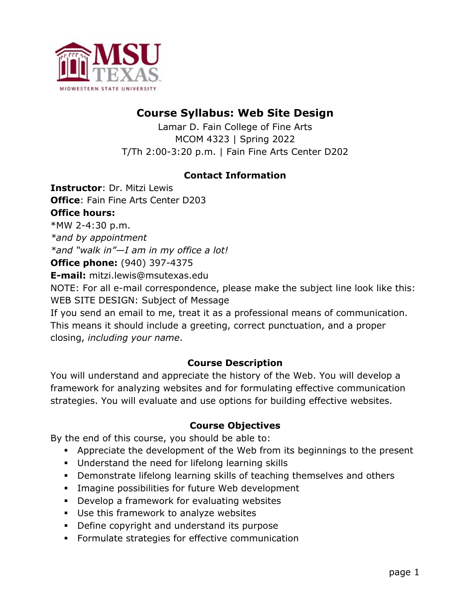

# **Course Syllabus: Web Site Design**

Lamar D. Fain College of Fine Arts MCOM 4323 | Spring 2022 T/Th 2:00-3:20 p.m. | Fain Fine Arts Center D202

## **Contact Information**

**Instructor**: Dr. Mitzi Lewis **Office**: Fain Fine Arts Center D203 **Office hours:**

\*MW 2-4:30 p.m.

*\*and by appointment \*and "walk in"—I am in my office a lot!*

**Office phone:** (940) 397-4375

**E-mail:** mitzi.lewis@msutexas.edu

NOTE: For all e-mail correspondence, please make the subject line look like this: WEB SITE DESIGN: Subject of Message

If you send an email to me, treat it as a professional means of communication. This means it should include a greeting, correct punctuation, and a proper closing, *including your name*.

# **Course Description**

You will understand and appreciate the history of the Web. You will develop a framework for analyzing websites and for formulating effective communication strategies. You will evaluate and use options for building effective websites.

# **Course Objectives**

By the end of this course, you should be able to:

- § Appreciate the development of the Web from its beginnings to the present
- § Understand the need for lifelong learning skills
- § Demonstrate lifelong learning skills of teaching themselves and others
- **Imagine possibilities for future Web development**
- **•** Develop a framework for evaluating websites
- § Use this framework to analyze websites
- § Define copyright and understand its purpose
- **•** Formulate strategies for effective communication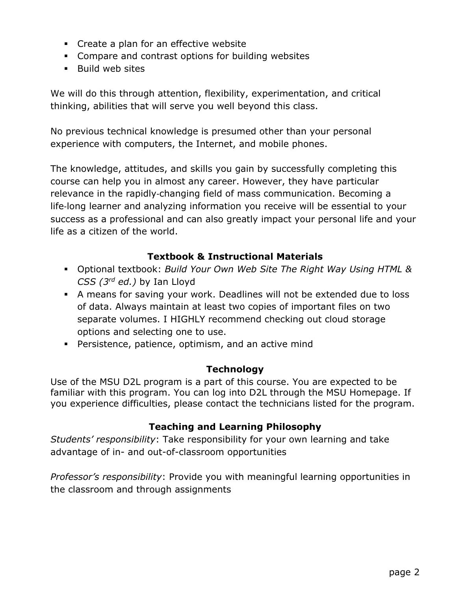- Create a plan for an effective website
- § Compare and contrast options for building websites
- Build web sites

We will do this through attention, flexibility, experimentation, and critical thinking, abilities that will serve you well beyond this class.

No previous technical knowledge is presumed other than your personal experience with computers, the Internet, and mobile phones.

The knowledge, attitudes, and skills you gain by successfully completing this course can help you in almost any career. However, they have particular relevance in the rapidly-changing field of mass communication. Becoming a life-long learner and analyzing information you receive will be essential to your success as a professional and can also greatly impact your personal life and your life as a citizen of the world.

## **Textbook & Instructional Materials**

- § Optional textbook: *Build Your Own Web Site The Right Way Using HTML & CSS (3rd ed.)* by Ian Lloyd
- § A means for saving your work. Deadlines will not be extended due to loss of data. Always maintain at least two copies of important files on two separate volumes. I HIGHLY recommend checking out cloud storage options and selecting one to use.
- § Persistence, patience, optimism, and an active mind

#### **Technology**

Use of the MSU D2L program is a part of this course. You are expected to be familiar with this program. You can log into D2L through the MSU Homepage. If you experience difficulties, please contact the technicians listed for the program.

#### **Teaching and Learning Philosophy**

*Students' responsibility*: Take responsibility for your own learning and take advantage of in- and out-of-classroom opportunities

*Professor's responsibility*: Provide you with meaningful learning opportunities in the classroom and through assignments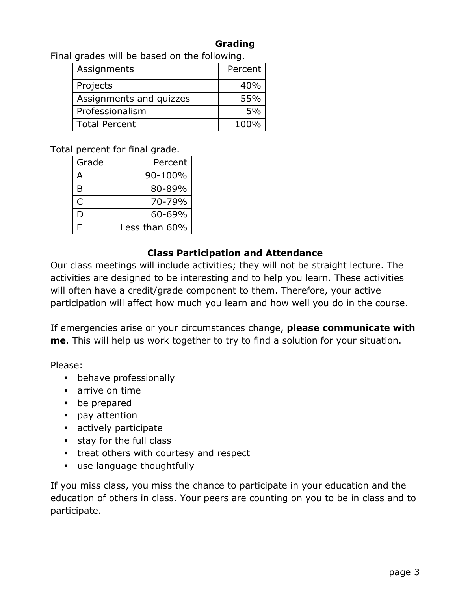## **Grading**

Final grades will be based on the following.

| Assignments             | Percent |
|-------------------------|---------|
| Projects                | 40%     |
| Assignments and quizzes | 55%     |
| Professionalism         | 5%      |
| <b>Total Percent</b>    | 100%    |

Total percent for final grade.

| Grade | Percent       |
|-------|---------------|
| А     | 90-100%       |
| B     | 80-89%        |
| Ċ     | 70-79%        |
| D     | $60 - 69%$    |
| E     | Less than 60% |

#### **Class Participation and Attendance**

Our class meetings will include activities; they will not be straight lecture. The activities are designed to be interesting and to help you learn. These activities will often have a credit/grade component to them. Therefore, your active participation will affect how much you learn and how well you do in the course.

If emergencies arise or your circumstances change, **please communicate with me**. This will help us work together to try to find a solution for your situation.

Please:

- **•** behave professionally
- arrive on time
- be prepared
- pay attention
- **•** actively participate
- § stay for the full class
- treat others with courtesy and respect
- use language thoughtfully

If you miss class, you miss the chance to participate in your education and the education of others in class. Your peers are counting on you to be in class and to participate.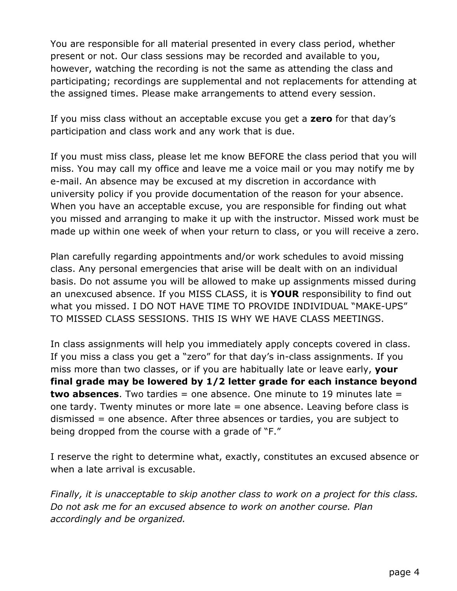You are responsible for all material presented in every class period, whether present or not. Our class sessions may be recorded and available to you, however, watching the recording is not the same as attending the class and participating; recordings are supplemental and not replacements for attending at the assigned times. Please make arrangements to attend every session.

If you miss class without an acceptable excuse you get a **zero** for that day's participation and class work and any work that is due.

If you must miss class, please let me know BEFORE the class period that you will miss. You may call my office and leave me a voice mail or you may notify me by e-mail. An absence may be excused at my discretion in accordance with university policy if you provide documentation of the reason for your absence. When you have an acceptable excuse, you are responsible for finding out what you missed and arranging to make it up with the instructor. Missed work must be made up within one week of when your return to class, or you will receive a zero.

Plan carefully regarding appointments and/or work schedules to avoid missing class. Any personal emergencies that arise will be dealt with on an individual basis. Do not assume you will be allowed to make up assignments missed during an unexcused absence. If you MISS CLASS, it is **YOUR** responsibility to find out what you missed. I DO NOT HAVE TIME TO PROVIDE INDIVIDUAL "MAKE-UPS" TO MISSED CLASS SESSIONS. THIS IS WHY WE HAVE CLASS MEETINGS.

In class assignments will help you immediately apply concepts covered in class. If you miss a class you get a "zero" for that day's in-class assignments. If you miss more than two classes, or if you are habitually late or leave early, **your final grade may be lowered by 1/2 letter grade for each instance beyond two absences**. Two tardies = one absence. One minute to 19 minutes late = one tardy. Twenty minutes or more late = one absence. Leaving before class is dismissed = one absence. After three absences or tardies, you are subject to being dropped from the course with a grade of "F."

I reserve the right to determine what, exactly, constitutes an excused absence or when a late arrival is excusable.

*Finally, it is unacceptable to skip another class to work on a project for this class. Do not ask me for an excused absence to work on another course. Plan accordingly and be organized.*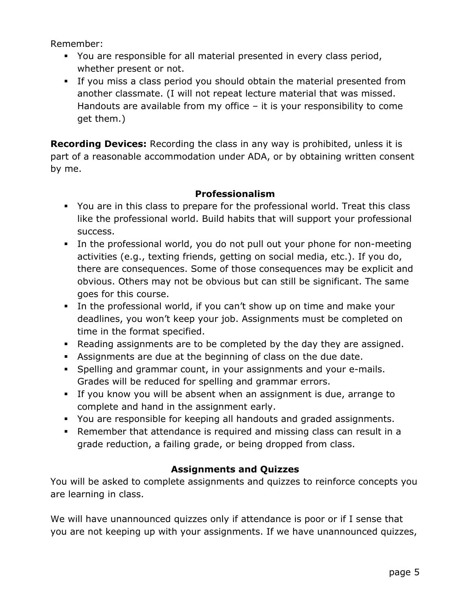Remember:

- § You are responsible for all material presented in every class period, whether present or not.
- § If you miss a class period you should obtain the material presented from another classmate. (I will not repeat lecture material that was missed. Handouts are available from my office – it is your responsibility to come get them.)

**Recording Devices:** Recording the class in any way is prohibited, unless it is part of a reasonable accommodation under ADA, or by obtaining written consent by me.

## **Professionalism**

- § You are in this class to prepare for the professional world. Treat this class like the professional world. Build habits that will support your professional success.
- In the professional world, you do not pull out your phone for non-meeting activities (e.g., texting friends, getting on social media, etc.). If you do, there are consequences. Some of those consequences may be explicit and obvious. Others may not be obvious but can still be significant. The same goes for this course.
- § In the professional world, if you can't show up on time and make your deadlines, you won't keep your job. Assignments must be completed on time in the format specified.
- Reading assignments are to be completed by the day they are assigned.
- § Assignments are due at the beginning of class on the due date.
- § Spelling and grammar count, in your assignments and your e-mails. Grades will be reduced for spelling and grammar errors.
- § If you know you will be absent when an assignment is due, arrange to complete and hand in the assignment early.
- § You are responsible for keeping all handouts and graded assignments.
- § Remember that attendance is required and missing class can result in a grade reduction, a failing grade, or being dropped from class.

# **Assignments and Quizzes**

You will be asked to complete assignments and quizzes to reinforce concepts you are learning in class.

We will have unannounced quizzes only if attendance is poor or if I sense that you are not keeping up with your assignments. If we have unannounced quizzes,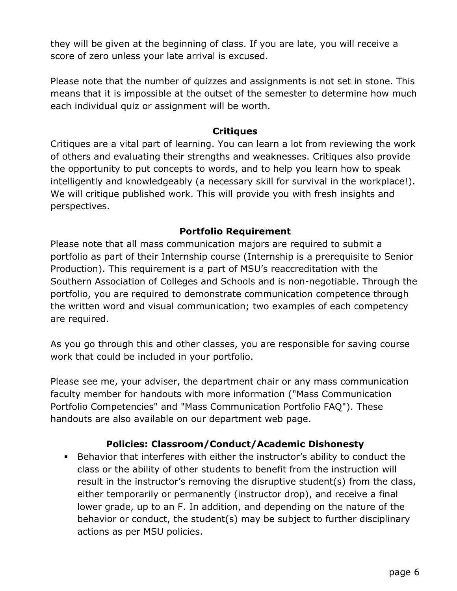they will be given at the beginning of class. If you are late, you will receive a score of zero unless your late arrival is excused.

Please note that the number of quizzes and assignments is not set in stone. This means that it is impossible at the outset of the semester to determine how much each individual quiz or assignment will be worth.

#### **Critiques**

Critiques are a vital part of learning. You can learn a lot from reviewing the work of others and evaluating their strengths and weaknesses. Critiques also provide the opportunity to put concepts to words, and to help you learn how to speak intelligently and knowledgeably (a necessary skill for survival in the workplace!). We will critique published work. This will provide you with fresh insights and perspectives.

## **Portfolio Requirement**

Please note that all mass communication majors are required to submit a portfolio as part of their Internship course (Internship is a prerequisite to Senior Production). This requirement is a part of MSU's reaccreditation with the Southern Association of Colleges and Schools and is non-negotiable. Through the portfolio, you are required to demonstrate communication competence through the written word and visual communication; two examples of each competency are required.

As you go through this and other classes, you are responsible for saving course work that could be included in your portfolio.

Please see me, your adviser, the department chair or any mass communication faculty member for handouts with more information ("Mass Communication Portfolio Competencies" and "Mass Communication Portfolio FAQ"). These handouts are also available on our department web page.

# **Policies: Classroom/Conduct/Academic Dishonesty**

§ Behavior that interferes with either the instructor's ability to conduct the class or the ability of other students to benefit from the instruction will result in the instructor's removing the disruptive student(s) from the class, either temporarily or permanently (instructor drop), and receive a final lower grade, up to an F. In addition, and depending on the nature of the behavior or conduct, the student(s) may be subject to further disciplinary actions as per MSU policies.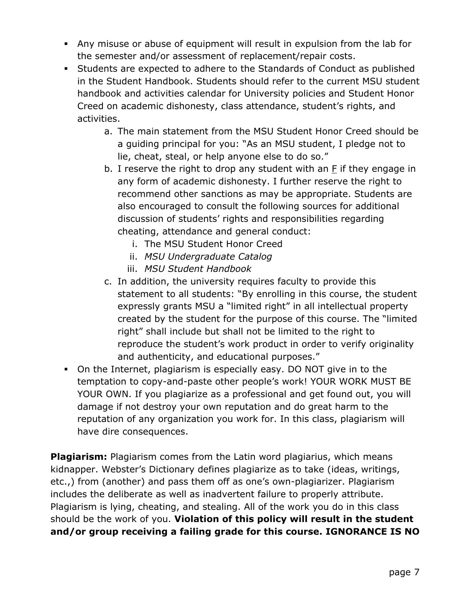- § Any misuse or abuse of equipment will result in expulsion from the lab for the semester and/or assessment of replacement/repair costs.
- § Students are expected to adhere to the Standards of Conduct as published in the Student Handbook. Students should refer to the current MSU student handbook and activities calendar for University policies and Student Honor Creed on academic dishonesty, class attendance, student's rights, and activities.
	- a. The main statement from the MSU Student Honor Creed should be a guiding principal for you: "As an MSU student, I pledge not to lie, cheat, steal, or help anyone else to do so."
	- b. I reserve the right to drop any student with an F if they engage in any form of academic dishonesty. I further reserve the right to recommend other sanctions as may be appropriate. Students are also encouraged to consult the following sources for additional discussion of students' rights and responsibilities regarding cheating, attendance and general conduct:
		- i. The MSU Student Honor Creed
		- ii. *MSU Undergraduate Catalog*
		- iii. *MSU Student Handbook*
	- c. In addition, the university requires faculty to provide this statement to all students: "By enrolling in this course, the student expressly grants MSU a "limited right" in all intellectual property created by the student for the purpose of this course. The "limited right" shall include but shall not be limited to the right to reproduce the student's work product in order to verify originality and authenticity, and educational purposes."
- § On the Internet, plagiarism is especially easy. DO NOT give in to the temptation to copy-and-paste other people's work! YOUR WORK MUST BE YOUR OWN. If you plagiarize as a professional and get found out, you will damage if not destroy your own reputation and do great harm to the reputation of any organization you work for. In this class, plagiarism will have dire consequences.

**Plagiarism:** Plagiarism comes from the Latin word plagiarius, which means kidnapper. Webster's Dictionary defines plagiarize as to take (ideas, writings, etc.,) from (another) and pass them off as one's own-plagiarizer. Plagiarism includes the deliberate as well as inadvertent failure to properly attribute. Plagiarism is lying, cheating, and stealing. All of the work you do in this class should be the work of you. **Violation of this policy will result in the student and/or group receiving a failing grade for this course. IGNORANCE IS NO**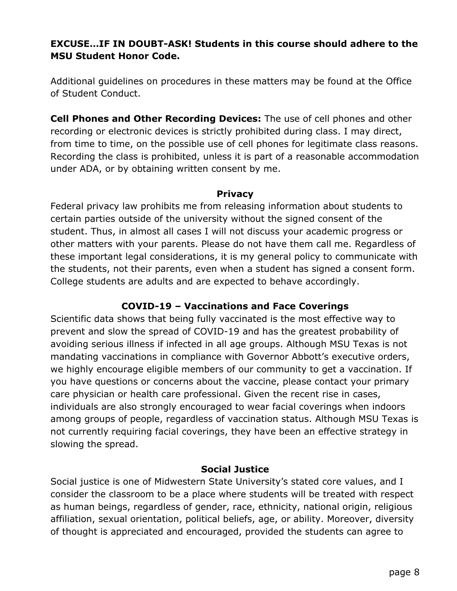## **EXCUSE…IF IN DOUBT-ASK! Students in this course should adhere to the MSU Student Honor Code.**

Additional guidelines on procedures in these matters may be found at the Office of Student Conduct.

**Cell Phones and Other Recording Devices:** The use of cell phones and other recording or electronic devices is strictly prohibited during class. I may direct, from time to time, on the possible use of cell phones for legitimate class reasons. Recording the class is prohibited, unless it is part of a reasonable accommodation under ADA, or by obtaining written consent by me.

#### **Privacy**

Federal privacy law prohibits me from releasing information about students to certain parties outside of the university without the signed consent of the student. Thus, in almost all cases I will not discuss your academic progress or other matters with your parents. Please do not have them call me. Regardless of these important legal considerations, it is my general policy to communicate with the students, not their parents, even when a student has signed a consent form. College students are adults and are expected to behave accordingly.

#### **COVID-19 – Vaccinations and Face Coverings**

Scientific data shows that being fully vaccinated is the most effective way to prevent and slow the spread of COVID-19 and has the greatest probability of avoiding serious illness if infected in all age groups. Although MSU Texas is not mandating vaccinations in compliance with Governor Abbott's executive orders, we highly encourage eligible members of our community to get a vaccination. If you have questions or concerns about the vaccine, please contact your primary care physician or health care professional. Given the recent rise in cases, individuals are also strongly encouraged to wear facial coverings when indoors among groups of people, regardless of vaccination status. Although MSU Texas is not currently requiring facial coverings, they have been an effective strategy in slowing the spread.

#### **Social Justice**

Social justice is one of Midwestern State University's stated core values, and I consider the classroom to be a place where students will be treated with respect as human beings, regardless of gender, race, ethnicity, national origin, religious affiliation, sexual orientation, political beliefs, age, or ability. Moreover, diversity of thought is appreciated and encouraged, provided the students can agree to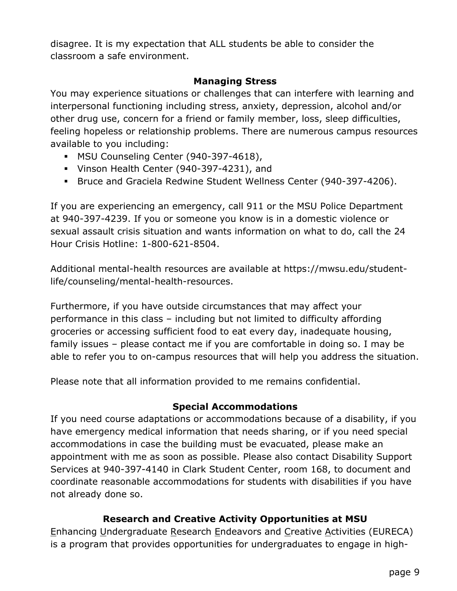disagree. It is my expectation that ALL students be able to consider the classroom a safe environment.

#### **Managing Stress**

You may experience situations or challenges that can interfere with learning and interpersonal functioning including stress, anxiety, depression, alcohol and/or other drug use, concern for a friend or family member, loss, sleep difficulties, feeling hopeless or relationship problems. There are numerous campus resources available to you including:

- § MSU Counseling Center (940-397-4618),
- § Vinson Health Center (940-397-4231), and
- § Bruce and Graciela Redwine Student Wellness Center (940-397-4206).

If you are experiencing an emergency, call 911 or the MSU Police Department at 940-397-4239. If you or someone you know is in a domestic violence or sexual assault crisis situation and wants information on what to do, call the 24 Hour Crisis Hotline: 1-800-621-8504.

Additional mental-health resources are available at https://mwsu.edu/studentlife/counseling/mental-health-resources.

Furthermore, if you have outside circumstances that may affect your performance in this class – including but not limited to difficulty affording groceries or accessing sufficient food to eat every day, inadequate housing, family issues – please contact me if you are comfortable in doing so. I may be able to refer you to on-campus resources that will help you address the situation.

Please note that all information provided to me remains confidential.

# **Special Accommodations**

If you need course adaptations or accommodations because of a disability, if you have emergency medical information that needs sharing, or if you need special accommodations in case the building must be evacuated, please make an appointment with me as soon as possible. Please also contact Disability Support Services at 940-397-4140 in Clark Student Center, room 168, to document and coordinate reasonable accommodations for students with disabilities if you have not already done so.

# **Research and Creative Activity Opportunities at MSU**

Enhancing Undergraduate Research Endeavors and Creative Activities (EURECA) is a program that provides opportunities for undergraduates to engage in high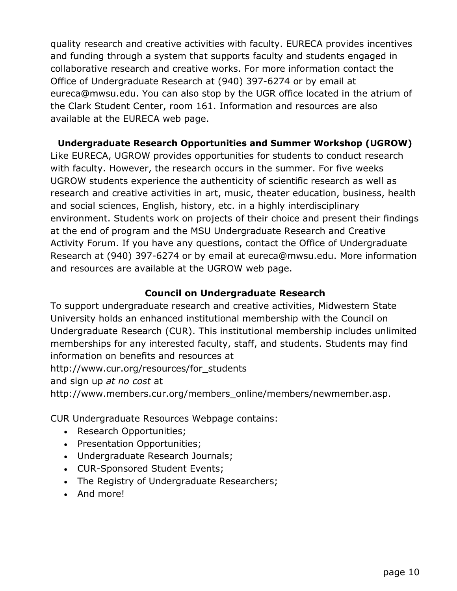quality research and creative activities with faculty. EURECA provides incentives and funding through a system that supports faculty and students engaged in collaborative research and creative works. For more information contact the Office of Undergraduate Research at (940) 397-6274 or by email at eureca@mwsu.edu. You can also stop by the UGR office located in the atrium of the Clark Student Center, room 161. Information and resources are also available at the EURECA web page.

#### **Undergraduate Research Opportunities and Summer Workshop (UGROW)**

Like EURECA, UGROW provides opportunities for students to conduct research with faculty. However, the research occurs in the summer. For five weeks UGROW students experience the authenticity of scientific research as well as research and creative activities in art, music, theater education, business, health and social sciences, English, history, etc. in a highly interdisciplinary environment. Students work on projects of their choice and present their findings at the end of program and the MSU Undergraduate Research and Creative Activity Forum. If you have any questions, contact the Office of Undergraduate Research at (940) 397-6274 or by email at eureca@mwsu.edu. More information and resources are available at the UGROW web page.

#### **Council on Undergraduate Research**

To support undergraduate research and creative activities, Midwestern State University holds an enhanced institutional membership with the Council on Undergraduate Research (CUR). This institutional membership includes unlimited memberships for any interested faculty, staff, and students. Students may find information on benefits and resources at

http://www.cur.org/resources/for\_students

and sign up *at no cost* at

http://www.members.cur.org/members\_online/members/newmember.asp.

CUR Undergraduate Resources Webpage contains:

- Research Opportunities;
- Presentation Opportunities;
- Undergraduate Research Journals;
- CUR-Sponsored Student Events;
- The Registry of Undergraduate Researchers;
- And more!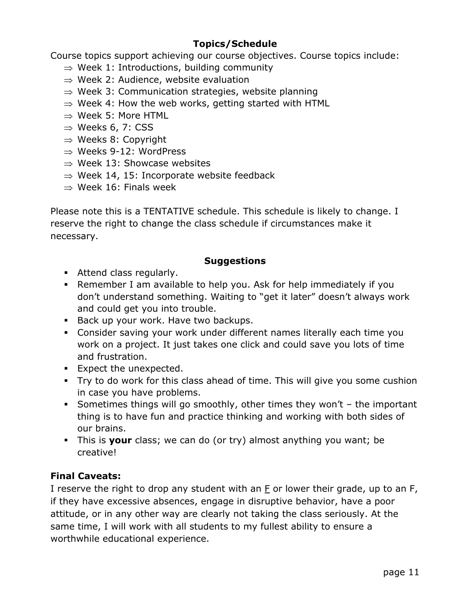# **Topics/Schedule**

Course topics support achieving our course objectives. Course topics include:

- $\Rightarrow$  Week 1: Introductions, building community
- $\Rightarrow$  Week 2: Audience, website evaluation
- $\Rightarrow$  Week 3: Communication strategies, website planning
- $\Rightarrow$  Week 4: How the web works, getting started with HTML
- $\Rightarrow$  Week 5: More HTML
- $\Rightarrow$  Weeks 6, 7: CSS
- $\Rightarrow$  Weeks 8: Copyright
- $\Rightarrow$  Weeks 9-12: WordPress
- $\Rightarrow$  Week 13: Showcase websites
- $\Rightarrow$  Week 14, 15: Incorporate website feedback
- $\Rightarrow$  Week 16: Finals week

Please note this is a TENTATIVE schedule. This schedule is likely to change. I reserve the right to change the class schedule if circumstances make it necessary.

## **Suggestions**

- **EXECUTE:** Attend class regularly.
- § Remember I am available to help you. Ask for help immediately if you don't understand something. Waiting to "get it later" doesn't always work and could get you into trouble.
- Back up your work. Have two backups.
- § Consider saving your work under different names literally each time you work on a project. It just takes one click and could save you lots of time and frustration.
- Expect the unexpected.
- § Try to do work for this class ahead of time. This will give you some cushion in case you have problems.
- Sometimes things will go smoothly, other times they won't  $-$  the important thing is to have fun and practice thinking and working with both sides of our brains.
- § This is **your** class; we can do (or try) almost anything you want; be creative!

# **Final Caveats:**

I reserve the right to drop any student with an  $F$  or lower their grade, up to an  $F$ , if they have excessive absences, engage in disruptive behavior, have a poor attitude, or in any other way are clearly not taking the class seriously. At the same time, I will work with all students to my fullest ability to ensure a worthwhile educational experience.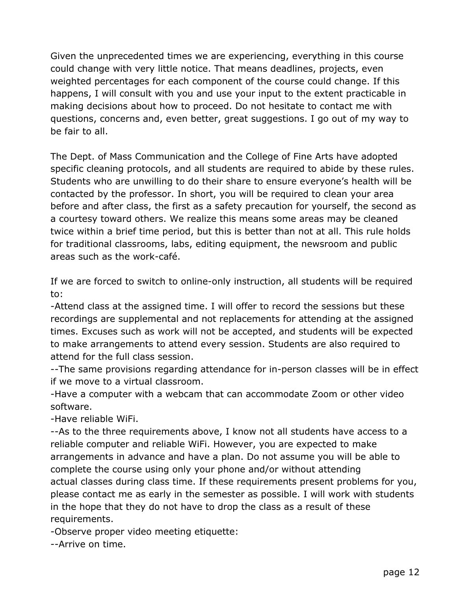Given the unprecedented times we are experiencing, everything in this course could change with very little notice. That means deadlines, projects, even weighted percentages for each component of the course could change. If this happens, I will consult with you and use your input to the extent practicable in making decisions about how to proceed. Do not hesitate to contact me with questions, concerns and, even better, great suggestions. I go out of my way to be fair to all.

The Dept. of Mass Communication and the College of Fine Arts have adopted specific cleaning protocols, and all students are required to abide by these rules. Students who are unwilling to do their share to ensure everyone's health will be contacted by the professor. In short, you will be required to clean your area before and after class, the first as a safety precaution for yourself, the second as a courtesy toward others. We realize this means some areas may be cleaned twice within a brief time period, but this is better than not at all. This rule holds for traditional classrooms, labs, editing equipment, the newsroom and public areas such as the work-café.

If we are forced to switch to online-only instruction, all students will be required to:

-Attend class at the assigned time. I will offer to record the sessions but these recordings are supplemental and not replacements for attending at the assigned times. Excuses such as work will not be accepted, and students will be expected to make arrangements to attend every session. Students are also required to attend for the full class session.

--The same provisions regarding attendance for in-person classes will be in effect if we move to a virtual classroom.

-Have a computer with a webcam that can accommodate Zoom or other video software.

-Have reliable WiFi.

--As to the three requirements above, I know not all students have access to a reliable computer and reliable WiFi. However, you are expected to make arrangements in advance and have a plan. Do not assume you will be able to complete the course using only your phone and/or without attending actual classes during class time. If these requirements present problems for you, please contact me as early in the semester as possible. I will work with students in the hope that they do not have to drop the class as a result of these requirements.

-Observe proper video meeting etiquette:

--Arrive on time.